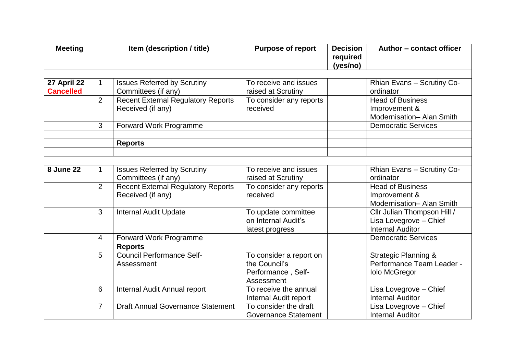| <b>Meeting</b>                  | Item (description / title) |                                                                | <b>Purpose of report</b>                                                     | <b>Decision</b><br>required<br>(yes/no) | Author - contact officer                                                             |
|---------------------------------|----------------------------|----------------------------------------------------------------|------------------------------------------------------------------------------|-----------------------------------------|--------------------------------------------------------------------------------------|
|                                 |                            |                                                                | To receive and issues                                                        |                                         |                                                                                      |
| 27 April 22<br><b>Cancelled</b> |                            | <b>Issues Referred by Scrutiny</b><br>Committees (if any)      | raised at Scrutiny                                                           |                                         | Rhian Evans - Scrutiny Co-<br>ordinator                                              |
|                                 | $\overline{2}$             | <b>Recent External Regulatory Reports</b><br>Received (if any) | To consider any reports<br>received                                          |                                         | <b>Head of Business</b><br>Improvement &<br>Modernisation- Alan Smith                |
|                                 | 3                          | Forward Work Programme                                         |                                                                              |                                         | <b>Democratic Services</b>                                                           |
|                                 |                            | <b>Reports</b>                                                 |                                                                              |                                         |                                                                                      |
|                                 |                            |                                                                |                                                                              |                                         |                                                                                      |
| <b>8 June 22</b>                |                            | <b>Issues Referred by Scrutiny</b><br>Committees (if any)      | To receive and issues<br>raised at Scrutiny                                  |                                         | Rhian Evans - Scrutiny Co-<br>ordinator                                              |
|                                 | $\overline{2}$             | <b>Recent External Regulatory Reports</b><br>Received (if any) | To consider any reports<br>received                                          |                                         | <b>Head of Business</b><br>Improvement &<br>Modernisation- Alan Smith                |
|                                 | 3                          | <b>Internal Audit Update</b>                                   | To update committee<br>on Internal Audit's<br>latest progress                |                                         | Cllr Julian Thompson Hill /<br>Lisa Lovegrove - Chief<br><b>Internal Auditor</b>     |
|                                 | 4                          | Forward Work Programme                                         |                                                                              |                                         | <b>Democratic Services</b>                                                           |
|                                 |                            | <b>Reports</b>                                                 |                                                                              |                                         |                                                                                      |
|                                 | 5                          | <b>Council Performance Self-</b><br>Assessment                 | To consider a report on<br>the Council's<br>Performance, Self-<br>Assessment |                                         | <b>Strategic Planning &amp;</b><br>Performance Team Leader -<br><b>Iolo McGregor</b> |
|                                 | 6                          | <b>Internal Audit Annual report</b>                            | To receive the annual<br>Internal Audit report                               |                                         | Lisa Lovegrove - Chief<br><b>Internal Auditor</b>                                    |
|                                 | $\overline{7}$             | <b>Draft Annual Governance Statement</b>                       | To consider the draft<br><b>Governance Statement</b>                         |                                         | Lisa Lovegrove - Chief<br><b>Internal Auditor</b>                                    |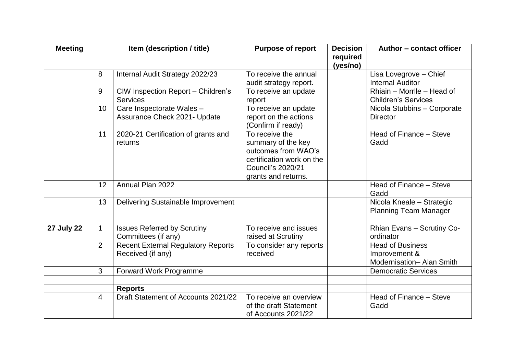| <b>Meeting</b>    | Item (description / title) |                                           | <b>Purpose of report</b>  | <b>Decision</b><br>required | Author - contact officer        |
|-------------------|----------------------------|-------------------------------------------|---------------------------|-----------------------------|---------------------------------|
|                   |                            |                                           |                           | (yes/no)                    |                                 |
|                   | 8                          | Internal Audit Strategy 2022/23           | To receive the annual     |                             | Lisa Lovegrove - Chief          |
|                   |                            |                                           | audit strategy report.    |                             | <b>Internal Auditor</b>         |
|                   | 9                          | CIW Inspection Report - Children's        | To receive an update      |                             | Rhiain - Morrlle - Head of      |
|                   |                            | <b>Services</b>                           | report                    |                             | <b>Children's Services</b>      |
|                   | 10                         | Care Inspectorate Wales -                 | To receive an update      |                             | Nicola Stubbins - Corporate     |
|                   |                            | Assurance Check 2021- Update              | report on the actions     |                             | <b>Director</b>                 |
|                   |                            |                                           | (Confirm if ready)        |                             |                                 |
|                   | 11                         | 2020-21 Certification of grants and       | To receive the            |                             | Head of Finance - Steve         |
|                   |                            | returns                                   | summary of the key        |                             | Gadd                            |
|                   |                            |                                           | outcomes from WAO's       |                             |                                 |
|                   |                            |                                           | certification work on the |                             |                                 |
|                   |                            |                                           | <b>Council's 2020/21</b>  |                             |                                 |
|                   |                            |                                           | grants and returns.       |                             |                                 |
|                   | 12                         | Annual Plan 2022                          |                           |                             | Head of Finance - Steve<br>Gadd |
|                   | 13                         | Delivering Sustainable Improvement        |                           |                             | Nicola Kneale - Strategic       |
|                   |                            |                                           |                           |                             | <b>Planning Team Manager</b>    |
|                   |                            |                                           |                           |                             |                                 |
| <b>27 July 22</b> | 1                          | <b>Issues Referred by Scrutiny</b>        | To receive and issues     |                             | Rhian Evans - Scrutiny Co-      |
|                   |                            | Committees (if any)                       | raised at Scrutiny        |                             | ordinator                       |
|                   | $\overline{2}$             | <b>Recent External Regulatory Reports</b> | To consider any reports   |                             | <b>Head of Business</b>         |
|                   |                            | Received (if any)                         | received                  |                             | Improvement &                   |
|                   |                            |                                           |                           |                             | Modernisation- Alan Smith       |
|                   | 3                          | Forward Work Programme                    |                           |                             | <b>Democratic Services</b>      |
|                   |                            |                                           |                           |                             |                                 |
|                   |                            | <b>Reports</b>                            |                           |                             |                                 |
|                   | $\overline{4}$             | Draft Statement of Accounts 2021/22       | To receive an overview    |                             | Head of Finance - Steve         |
|                   |                            |                                           | of the draft Statement    |                             | Gadd                            |
|                   |                            |                                           | of Accounts 2021/22       |                             |                                 |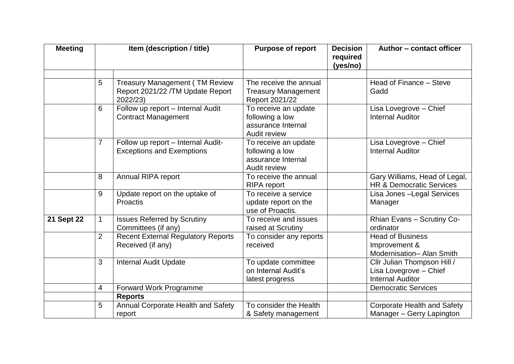| <b>Meeting</b> |                | Item (description / title)                                                             | <b>Purpose of report</b>                                                      | <b>Decision</b><br>required<br>(yes/no) | Author - contact officer                                                         |
|----------------|----------------|----------------------------------------------------------------------------------------|-------------------------------------------------------------------------------|-----------------------------------------|----------------------------------------------------------------------------------|
|                | 5              | <b>Treasury Management (TM Review</b><br>Report 2021/22 / TM Update Report<br>2022/23) | The receive the annual<br><b>Treasury Management</b><br>Report 2021/22        |                                         | Head of Finance - Steve<br>Gadd                                                  |
|                | 6              | Follow up report - Internal Audit<br><b>Contract Management</b>                        | To receive an update<br>following a low<br>assurance Internal<br>Audit review |                                         | Lisa Lovegrove - Chief<br><b>Internal Auditor</b>                                |
|                | $\overline{7}$ | Follow up report - Internal Audit-<br><b>Exceptions and Exemptions</b>                 | To receive an update<br>following a low<br>assurance Internal<br>Audit review |                                         | Lisa Lovegrove - Chief<br><b>Internal Auditor</b>                                |
|                | 8              | Annual RIPA report                                                                     | To receive the annual<br><b>RIPA</b> report                                   |                                         | Gary Williams, Head of Legal,<br><b>HR &amp; Democratic Services</b>             |
|                | 9              | Update report on the uptake of<br><b>Proactis</b>                                      | To receive a service<br>update report on the<br>use of Proactis.              |                                         | Lisa Jones - Legal Services<br>Manager                                           |
| 21 Sept 22     | 1              | <b>Issues Referred by Scrutiny</b><br>Committees (if any)                              | To receive and issues<br>raised at Scrutiny                                   |                                         | Rhian Evans - Scrutiny Co-<br>ordinator                                          |
|                | $\overline{2}$ | <b>Recent External Regulatory Reports</b><br>Received (if any)                         | To consider any reports<br>received                                           |                                         | <b>Head of Business</b><br>Improvement &<br>Modernisation- Alan Smith            |
|                | 3              | <b>Internal Audit Update</b>                                                           | To update committee<br>on Internal Audit's<br>latest progress                 |                                         | Cllr Julian Thompson Hill /<br>Lisa Lovegrove - Chief<br><b>Internal Auditor</b> |
|                | 4              | Forward Work Programme                                                                 |                                                                               |                                         | <b>Democratic Services</b>                                                       |
|                |                | <b>Reports</b>                                                                         |                                                                               |                                         |                                                                                  |
|                | 5              | Annual Corporate Health and Safety<br>report                                           | To consider the Health<br>& Safety management                                 |                                         | <b>Corporate Health and Safety</b><br>Manager - Gerry Lapington                  |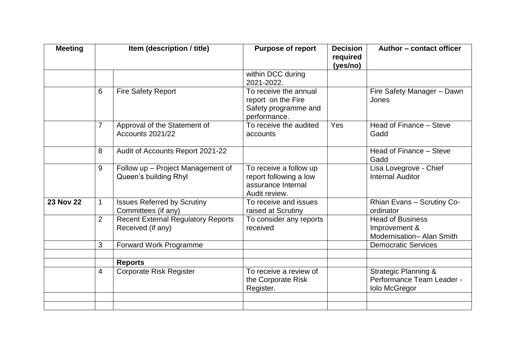| <b>Meeting</b>   |                | Item (description / title)                                     | <b>Purpose of report</b>                                                                | <b>Decision</b><br>required<br>(yes/no) | Author - contact officer                                                             |
|------------------|----------------|----------------------------------------------------------------|-----------------------------------------------------------------------------------------|-----------------------------------------|--------------------------------------------------------------------------------------|
|                  |                |                                                                | within DCC during<br>2021-2022.                                                         |                                         |                                                                                      |
|                  | 6              | <b>Fire Safety Report</b>                                      | To receive the annual<br>report on the Fire<br>Safety programme and<br>performance.     |                                         | Fire Safety Manager - Dawn<br>Jones                                                  |
|                  | $\overline{7}$ | Approval of the Statement of<br>Accounts 2021/22               | To receive the audited<br>accounts                                                      | Yes                                     | Head of Finance - Steve<br>Gadd                                                      |
|                  | 8              | Audit of Accounts Report 2021-22                               |                                                                                         |                                         | Head of Finance - Steve<br>Gadd                                                      |
|                  | 9              | Follow up - Project Management of<br>Queen's building Rhyl     | To receive a follow up<br>report following a low<br>assurance Internal<br>Audit review. |                                         | Lisa Lovegrove - Chief<br><b>Internal Auditor</b>                                    |
| <b>23 Nov 22</b> | $\mathbf{1}$   | <b>Issues Referred by Scrutiny</b><br>Committees (if any)      | To receive and issues<br>raised at Scrutiny                                             |                                         | Rhian Evans - Scrutiny Co-<br>ordinator                                              |
|                  | $\overline{2}$ | <b>Recent External Regulatory Reports</b><br>Received (if any) | To consider any reports<br>received                                                     |                                         | <b>Head of Business</b><br>Improvement &<br>Modernisation- Alan Smith                |
|                  | 3              | Forward Work Programme                                         |                                                                                         |                                         | <b>Democratic Services</b>                                                           |
|                  |                | <b>Reports</b>                                                 |                                                                                         |                                         |                                                                                      |
|                  | $\overline{4}$ | <b>Corporate Risk Register</b>                                 | To receive a review of<br>the Corporate Risk<br>Register.                               |                                         | <b>Strategic Planning &amp;</b><br>Performance Team Leader -<br><b>Iolo McGregor</b> |
|                  |                |                                                                |                                                                                         |                                         |                                                                                      |
|                  |                |                                                                |                                                                                         |                                         |                                                                                      |